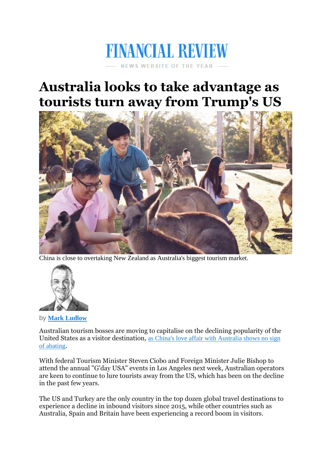## **FINANCIAL REVIEW NEWS WEBSITE OF THE YEAR**

## **Australia looks to take advantage as tourists turn away from Trump's US**



China is close to overtaking New Zealand as Australia's biggest tourism market.



by **Mark [Ludlow](http://www.afr.com/news/politics/mark-ludlow-j7gcv.html)**

Australian tourism bosses are moving to capitalise on the declining popularity of the United States as a visitor destination, as China's love affair with [Australia](http://www.afr.com/news/politics/china-on-track-to-become-australias-largest-tourism-market-20171213-h043zd) shows no sign of [abating](http://www.afr.com/news/politics/china-on-track-to-become-australias-largest-tourism-market-20171213-h043zd).

With federal Tourism Minister Steven Ciobo and Foreign Minister Julie Bishop to attend the annual "G'day USA" events in Los Angeles next week, Australian operators are keen to continue to lure tourists away from the US, which has been on the decline in the past few years.

The US and Turkey are the only country in the top dozen global travel destinations to experience a decline in inbound visitors since 2015, while other countries such as Australia, Spain and Britain have been experiencing a record boom in visitors.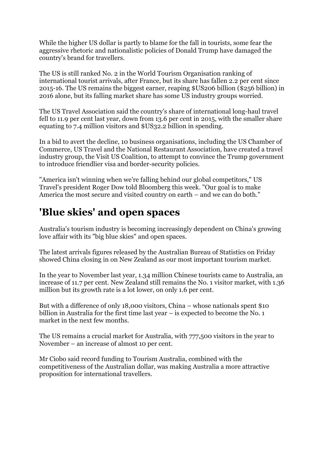While the higher US dollar is partly to blame for the fall in tourists, some fear the aggressive rhetoric and nationalistic policies of Donald Trump have damaged the country's brand for travellers.

The US is still ranked No. 2 in the World Tourism Organisation ranking of international tourist arrivals, after France, but its share has fallen 2.2 per cent since 2015-16. The US remains the biggest earner, reaping \$US206 billion (\$256 billion) in 2016 alone, but its falling market share has some US industry groups worried.

The US Travel Association said the country's share of international long-haul travel fell to 11.9 per cent last year, down from 13.6 per cent in 2015, with the smaller share equating to 7.4 million visitors and \$US32.2 billion in spending.

In a bid to avert the decline, 10 business organisations, including the US Chamber of Commerce, US Travel and the National Restaurant Association, have created a travel industry group, the Visit US Coalition, to attempt to convince the Trump government to introduce friendlier visa and border-security policies.

"America isn't winning when we're falling behind our global competitors," US Travel's president Roger Dow told Bloomberg this week. "Our goal is to make America the most secure and visited country on earth – and we can do both."

## **'Blue skies' and open spaces**

Australia's tourism industry is becoming increasingly dependent on China's growing love affair with its "big blue skies" and open spaces.

The latest arrivals figures released by the Australian Bureau of Statistics on Friday showed China closing in on New Zealand as our most important tourism market.

In the year to November last year, 1.34 million Chinese tourists came to Australia, an increase of 11.7 per cent. New Zealand still remains the No. 1 visitor market, with 1.36 million but its growth rate is a lot lower, on only 1.6 per cent.

But with a difference of only 18,000 visitors, China – whose nationals spent \$10 billion in Australia for the first time last year – is expected to become the No. 1 market in the next few months.

The US remains a crucial market for Australia, with 777,500 visitors in the year to November – an increase of almost 10 per cent.

Mr Ciobo said record funding to Tourism Australia, combined with the competitiveness of the Australian dollar, was making Australia a more attractive proposition for international travellers.